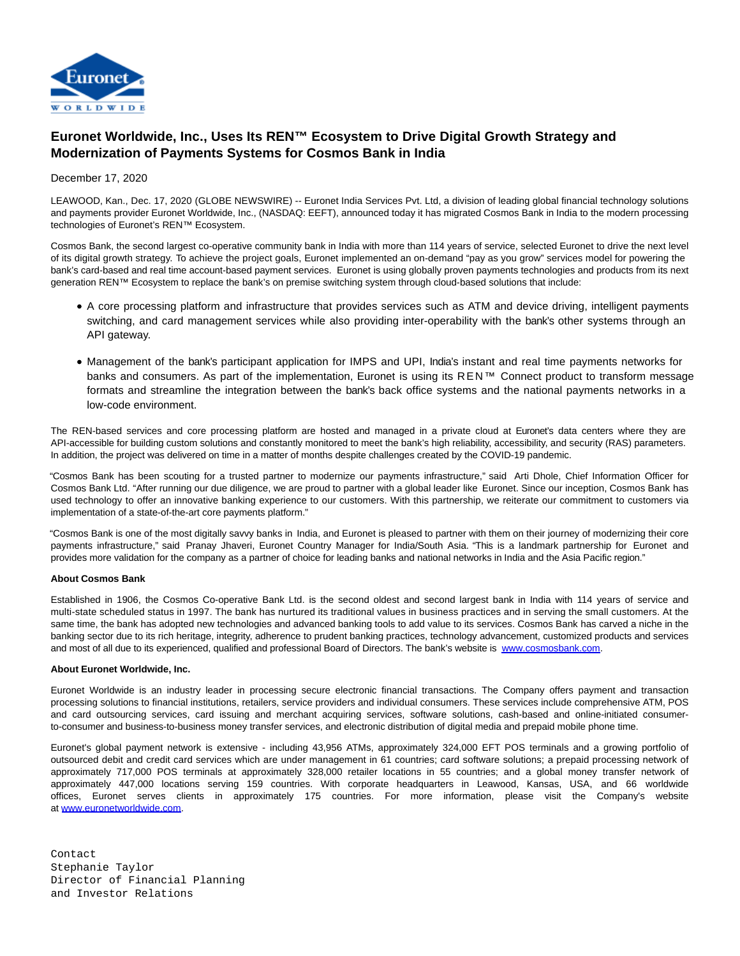

## **Euronet Worldwide, Inc., Uses Its REN™ Ecosystem to Drive Digital Growth Strategy and Modernization of Payments Systems for Cosmos Bank in India**

December 17, 2020

LEAWOOD, Kan., Dec. 17, 2020 (GLOBE NEWSWIRE) -- Euronet India Services Pvt. Ltd, a division of leading global financial technology solutions and payments provider Euronet Worldwide, Inc., (NASDAQ: EEFT), announced today it has migrated Cosmos Bank in India to the modern processing technologies of Euronet's REN™ Ecosystem.

Cosmos Bank, the second largest co-operative community bank in India with more than 114 years of service, selected Euronet to drive the next level of its digital growth strategy. To achieve the project goals, Euronet implemented an on-demand "pay as you grow" services model for powering the bank's card-based and real time account-based payment services. Euronet is using globally proven payments technologies and products from its next generation REN™ Ecosystem to replace the bank's on premise switching system through cloud-based solutions that include:

- A core processing platform and infrastructure that provides services such as ATM and device driving, intelligent payments switching, and card management services while also providing inter-operability with the bank's other systems through an API gateway.
- Management of the bank's participant application for IMPS and UPI, India's instant and real time payments networks for banks and consumers. As part of the implementation, Euronet is using its REN™ Connect product to transform message formats and streamline the integration between the bank's back office systems and the national payments networks in a low-code environment.

The REN-based services and core processing platform are hosted and managed in a private cloud at Euronet's data centers where they are API-accessible for building custom solutions and constantly monitored to meet the bank's high reliability, accessibility, and security (RAS) parameters. In addition, the project was delivered on time in a matter of months despite challenges created by the COVID-19 pandemic.

"Cosmos Bank has been scouting for a trusted partner to modernize our payments infrastructure," said Arti Dhole, Chief Information Officer for Cosmos Bank Ltd. "After running our due diligence, we are proud to partner with a global leader like Euronet. Since our inception, Cosmos Bank has used technology to offer an innovative banking experience to our customers. With this partnership, we reiterate our commitment to customers via implementation of a state-of-the-art core payments platform."

"Cosmos Bank is one of the most digitally savvy banks in India, and Euronet is pleased to partner with them on their journey of modernizing their core payments infrastructure," said Pranay Jhaveri, Euronet Country Manager for India/South Asia. "This is a landmark partnership for Euronet and provides more validation for the company as a partner of choice for leading banks and national networks in India and the Asia Pacific region."

## **About Cosmos Bank**

Established in 1906, the Cosmos Co-operative Bank Ltd. is the second oldest and second largest bank in India with 114 years of service and multi-state scheduled status in 1997. The bank has nurtured its traditional values in business practices and in serving the small customers. At the same time, the bank has adopted new technologies and advanced banking tools to add value to its services. Cosmos Bank has carved a niche in the banking sector due to its rich heritage, integrity, adherence to prudent banking practices, technology advancement, customized products and services and most of all due to its experienced, qualified and professional Board of Directors. The bank's website is [www.cosmosbank.com.](http://www.cosmosbank.com/)

## **About Euronet Worldwide, Inc.**

Euronet Worldwide is an industry leader in processing secure electronic financial transactions. The Company offers payment and transaction processing solutions to financial institutions, retailers, service providers and individual consumers. These services include comprehensive ATM, POS and card outsourcing services, card issuing and merchant acquiring services, software solutions, cash-based and online-initiated consumerto-consumer and business-to-business money transfer services, and electronic distribution of digital media and prepaid mobile phone time.

Euronet's global payment network is extensive - including 43,956 ATMs, approximately 324,000 EFT POS terminals and a growing portfolio of outsourced debit and credit card services which are under management in 61 countries; card software solutions; a prepaid processing network of approximately 717,000 POS terminals at approximately 328,000 retailer locations in 55 countries; and a global money transfer network of approximately 447,000 locations serving 159 countries. With corporate headquarters in Leawood, Kansas, USA, and 66 worldwide offices, Euronet serves clients in approximately 175 countries. For more information, please visit the Company's website at [www.euronetworldwide.com.](https://www.globenewswire.com/Tracker?data=BeijVfd7H2R28j_UUxBSGHBxdlBCcn-uVOp7lVD3Fh9QZplhg5yrYOPHa5lu3hYvkOqqQJUaMVO0LxDYVlDZQpvGWxhILRRpa9BdAn8ONdo=)

Contact Stephanie Taylor Director of Financial Planning and Investor Relations